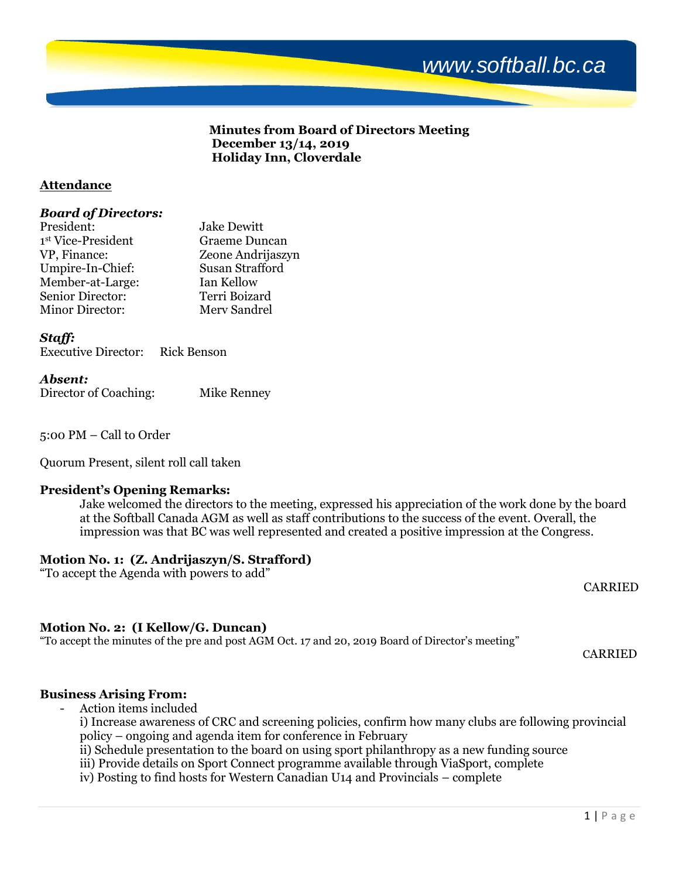# **Minutes from Board of Directors Meeting December 13/14, 2019 Holiday Inn, Cloverdale**

# **Attendance**

### *Board of Directors:*

| <b>Jake Dewitt</b> |
|--------------------|
| Graeme Duncan      |
| Zeone Andrijaszyn  |
| Susan Strafford    |
| Ian Kellow         |
| Terri Boizard      |
| Merv Sandrel       |
|                    |

# *Staff:*

| <b>Executive Director:</b> |  | <b>Rick Benson</b> |
|----------------------------|--|--------------------|
|----------------------------|--|--------------------|

### *Absent:*

Director of Coaching: Mike Renney

5:00 PM – Call to Order

Quorum Present, silent roll call taken

### **President's Opening Remarks:**

Jake welcomed the directors to the meeting, expressed his appreciation of the work done by the board at the Softball Canada AGM as well as staff contributions to the success of the event. Overall, the impression was that BC was well represented and created a positive impression at the Congress.

# **Motion No. 1: (Z. Andrijaszyn/S. Strafford)**

"To accept the Agenda with powers to add"

# **Motion No. 2: (I Kellow/G. Duncan)**

"To accept the minutes of the pre and post AGM Oct. 17 and 20, 2019 Board of Director's meeting"

# **Business Arising From:**

- Action items included

i) Increase awareness of CRC and screening policies, confirm how many clubs are following provincial policy – ongoing and agenda item for conference in February

ii) Schedule presentation to the board on using sport philanthropy as a new funding source

iii) Provide details on Sport Connect programme available through ViaSport, complete

iv) Posting to find hosts for Western Canadian U14 and Provincials – complete

CARRIED

CARRIED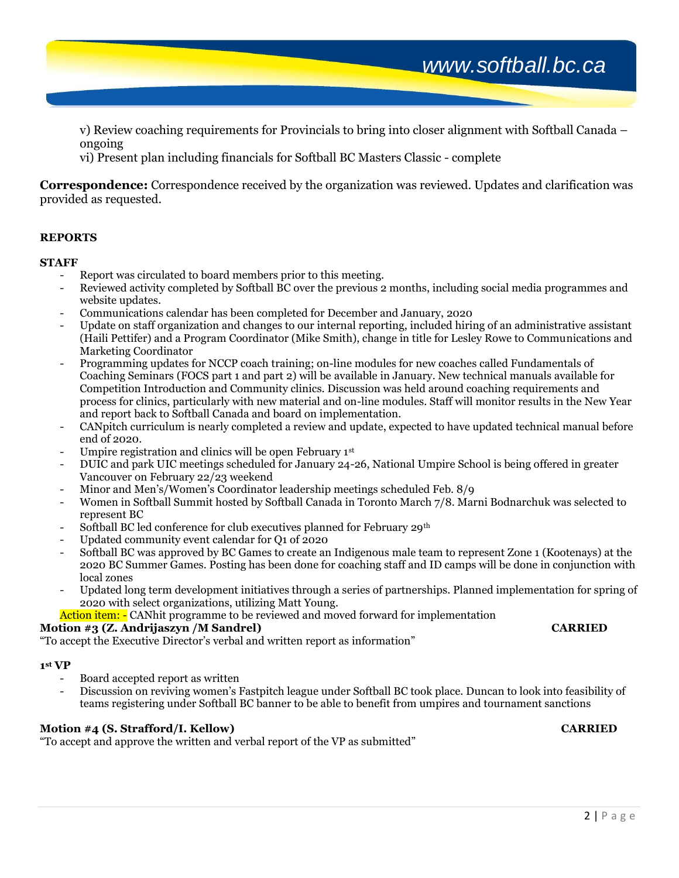v) Review coaching requirements for Provincials to bring into closer alignment with Softball Canada – ongoing

vi) Present plan including financials for Softball BC Masters Classic - complete

**Correspondence:** Correspondence received by the organization was reviewed. Updates and clarification was provided as requested.

# **REPORTS**

### **STAFF**

- Report was circulated to board members prior to this meeting.
- Reviewed activity completed by Softball BC over the previous 2 months, including social media programmes and website updates.
- Communications calendar has been completed for December and January, 2020
- Update on staff organization and changes to our internal reporting, included hiring of an administrative assistant (Haili Pettifer) and a Program Coordinator (Mike Smith), change in title for Lesley Rowe to Communications and Marketing Coordinator
- Programming updates for NCCP coach training; on-line modules for new coaches called Fundamentals of Coaching Seminars (FOCS part 1 and part 2) will be available in January. New technical manuals available for Competition Introduction and Community clinics. Discussion was held around coaching requirements and process for clinics, particularly with new material and on-line modules. Staff will monitor results in the New Year and report back to Softball Canada and board on implementation.
- CANpitch curriculum is nearly completed a review and update, expected to have updated technical manual before end of 2020.
- Umpire registration and clinics will be open February 1st
- DUIC and park UIC meetings scheduled for January 24-26, National Umpire School is being offered in greater Vancouver on February 22/23 weekend
- Minor and Men's/Women's Coordinator leadership meetings scheduled Feb. 8/9
- Women in Softball Summit hosted by Softball Canada in Toronto March 7/8. Marni Bodnarchuk was selected to represent BC
- Softball BC led conference for club executives planned for February 29<sup>th</sup>
- Updated community event calendar for Q1 of 2020
- Softball BC was approved by BC Games to create an Indigenous male team to represent Zone 1 (Kootenays) at the 2020 BC Summer Games. Posting has been done for coaching staff and ID camps will be done in conjunction with local zones
- Updated long term development initiatives through a series of partnerships. Planned implementation for spring of 2020 with select organizations, utilizing Matt Young.

Action item: - CANhit programme to be reviewed and moved forward for implementation

### **Motion #3 (Z. Andrijaszyn /M Sandrel) CARRIED**

"To accept the Executive Director's verbal and written report as information"

# **1 st VP**

- Board accepted report as written
- Discussion on reviving women's Fastpitch league under Softball BC took place. Duncan to look into feasibility of teams registering under Softball BC banner to be able to benefit from umpires and tournament sanctions

### **Motion #4 (S. Strafford/I. Kellow) CARRIED**

"To accept and approve the written and verbal report of the VP as submitted"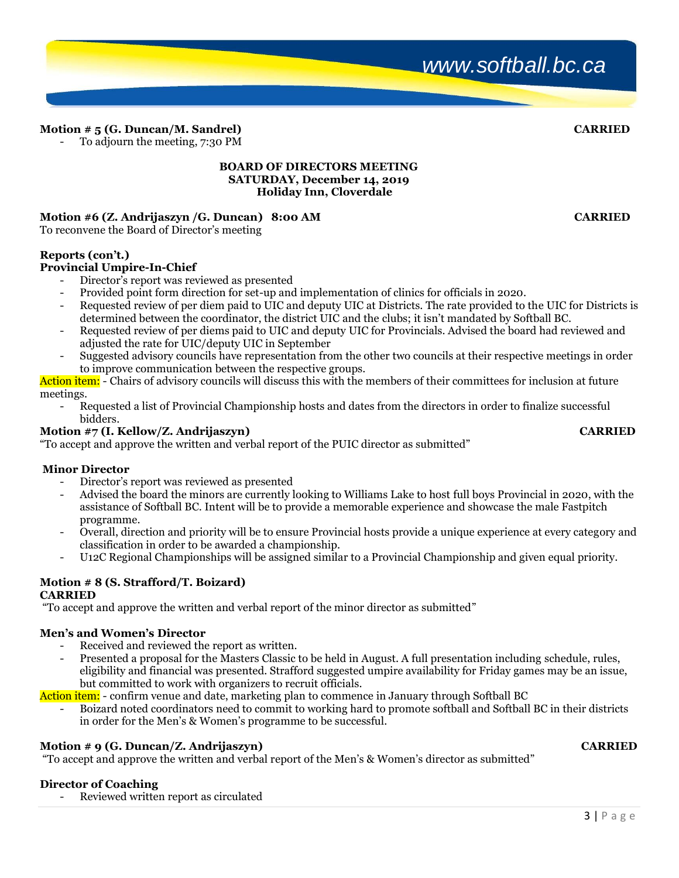# **Motion # 5 (G. Duncan/M. Sandrel) CARRIED**

To adjourn the meeting, 7:30 PM

#### **BOARD OF DIRECTORS MEETING SATURDAY, December 14, 2019 Holiday Inn, Cloverdale**

# **Motion #6 (Z. Andrijaszyn /G. Duncan) 8:00 AM CARRIED**

To reconvene the Board of Director's meeting

# **Reports (con't.)**

# **Provincial Umpire-In-Chief**

- Director's report was reviewed as presented
- Provided point form direction for set-up and implementation of clinics for officials in 2020.
- Requested review of per diem paid to UIC and deputy UIC at Districts. The rate provided to the UIC for Districts is determined between the coordinator, the district UIC and the clubs; it isn't mandated by Softball BC.
- Requested review of per diems paid to UIC and deputy UIC for Provincials. Advised the board had reviewed and adjusted the rate for UIC/deputy UIC in September
- Suggested advisory councils have representation from the other two councils at their respective meetings in order to improve communication between the respective groups.

Action item: - Chairs of advisory councils will discuss this with the members of their committees for inclusion at future meetings.

- Requested a list of Provincial Championship hosts and dates from the directors in order to finalize successful bidders.

# **Motion #7 (I. Kellow/Z. Andrijaszyn) CARRIED**

"To accept and approve the written and verbal report of the PUIC director as submitted"

### **Minor Director**

- Director's report was reviewed as presented
- Advised the board the minors are currently looking to Williams Lake to host full boys Provincial in 2020, with the assistance of Softball BC. Intent will be to provide a memorable experience and showcase the male Fastpitch programme.
- Overall, direction and priority will be to ensure Provincial hosts provide a unique experience at every category and classification in order to be awarded a championship.
- U12C Regional Championships will be assigned similar to a Provincial Championship and given equal priority.

### **Motion # 8 (S. Strafford/T. Boizard) CARRIED**

"To accept and approve the written and verbal report of the minor director as submitted"

### **Men's and Women's Director**

- Received and reviewed the report as written.
- Presented a proposal for the Masters Classic to be held in August. A full presentation including schedule, rules, eligibility and financial was presented. Strafford suggested umpire availability for Friday games may be an issue, but committed to work with organizers to recruit officials.

Action item: - confirm venue and date, marketing plan to commence in January through Softball BC

- Boizard noted coordinators need to commit to working hard to promote softball and Softball BC in their districts in order for the Men's & Women's programme to be successful.

### **Motion # 9 (G. Duncan/Z. Andrijaszyn) CARRIED**

"To accept and approve the written and verbal report of the Men's & Women's director as submitted"

### **Director of Coaching**

Reviewed written report as circulated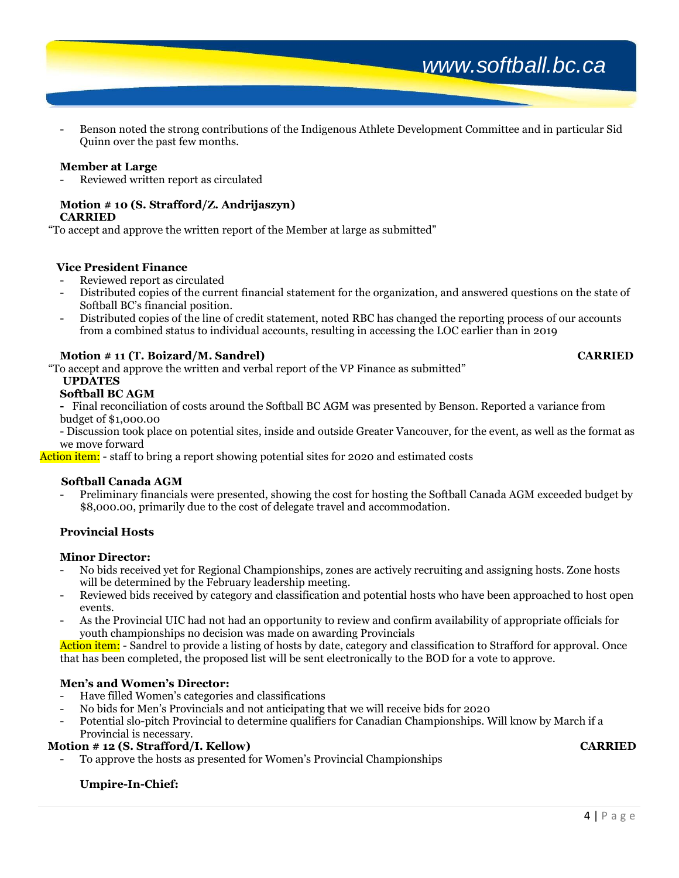- Benson noted the strong contributions of the Indigenous Athlete Development Committee and in particular Sid Quinn over the past few months.

#### **Member at Large**

Reviewed written report as circulated

# **Motion # 10 (S. Strafford/Z. Andrijaszyn)**

**CARRIED** 

"To accept and approve the written report of the Member at large as submitted"

#### **Vice President Finance**

- Reviewed report as circulated
- Distributed copies of the current financial statement for the organization, and answered questions on the state of Softball BC's financial position.
- Distributed copies of the line of credit statement, noted RBC has changed the reporting process of our accounts from a combined status to individual accounts, resulting in accessing the LOC earlier than in 2019

### **Motion # 11 (T. Boizard/M. Sandrel) CARRIED**

"To accept and approve the written and verbal report of the VP Finance as submitted"

# **UPDATES**

# **Softball BC AGM**

**-** Final reconciliation of costs around the Softball BC AGM was presented by Benson. Reported a variance from budget of \$1,000.00

- Discussion took place on potential sites, inside and outside Greater Vancouver, for the event, as well as the format as we move forward

Action item: - staff to bring a report showing potential sites for 2020 and estimated costs

#### **Softball Canada AGM**

- Preliminary financials were presented, showing the cost for hosting the Softball Canada AGM exceeded budget by \$8,000.00, primarily due to the cost of delegate travel and accommodation.

### **Provincial Hosts**

#### **Minor Director:**

- No bids received yet for Regional Championships, zones are actively recruiting and assigning hosts. Zone hosts will be determined by the February leadership meeting.
- Reviewed bids received by category and classification and potential hosts who have been approached to host open events.
- As the Provincial UIC had not had an opportunity to review and confirm availability of appropriate officials for youth championships no decision was made on awarding Provincials

Action item: - Sandrel to provide a listing of hosts by date, category and classification to Strafford for approval. Once that has been completed, the proposed list will be sent electronically to the BOD for a vote to approve.

#### **Men's and Women's Director:**

- Have filled Women's categories and classifications
- No bids for Men's Provincials and not anticipating that we will receive bids for 2020
- Potential slo-pitch Provincial to determine qualifiers for Canadian Championships. Will know by March if a

#### Provincial is necessary. **Motion # 12 (S. Strafford/I. Kellow) CARRIED**

- To approve the hosts as presented for Women's Provincial Championships

### **Umpire-In-Chief:**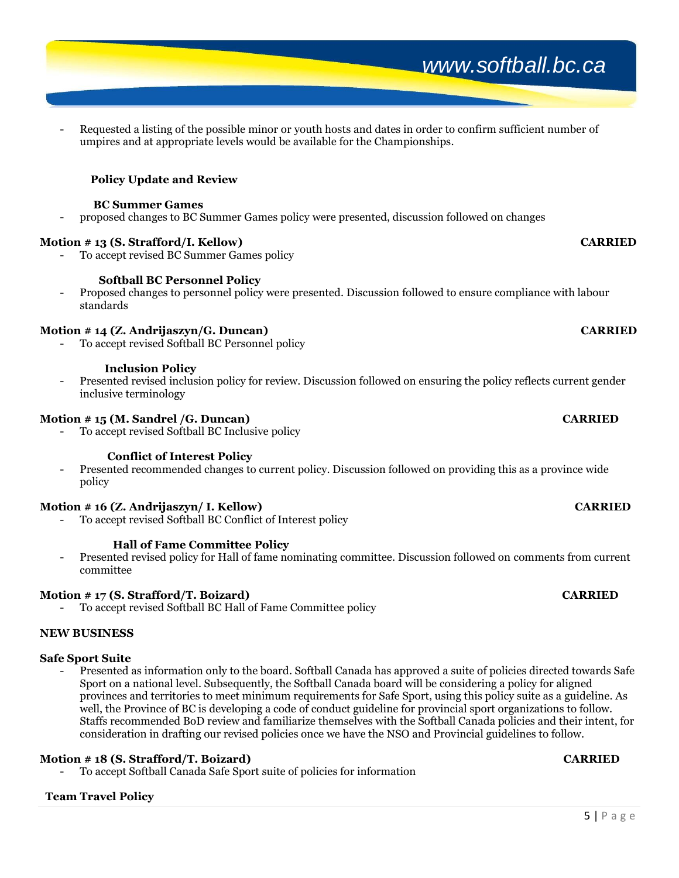#### Requested a listing of the possible minor or youth hosts and dates in order to confirm sufficient number of umpires and at appropriate levels would be available for the Championships.

# **Policy Update and Review**

#### **BC Summer Games**

- proposed changes to BC Summer Games policy were presented, discussion followed on changes

#### **Motion # 13 (S. Strafford/I. Kellow) CARRIED**

To accept revised BC Summer Games policy

#### **Softball BC Personnel Policy**

- Proposed changes to personnel policy were presented. Discussion followed to ensure compliance with labour standards

### **Motion # 14 (Z. Andrijaszyn/G. Duncan) CARRIED**

To accept revised Softball BC Personnel policy

#### **Inclusion Policy**

- Presented revised inclusion policy for review. Discussion followed on ensuring the policy reflects current gender inclusive terminology

#### **Motion # 15 (M. Sandrel /G. Duncan) CARRIED**

To accept revised Softball BC Inclusive policy

#### **Conflict of Interest Policy**

- Presented recommended changes to current policy. Discussion followed on providing this as a province wide policy

#### **Motion # 16 (Z. Andrijaszyn/ I. Kellow) CARRIED**

To accept revised Softball BC Conflict of Interest policy

#### **Hall of Fame Committee Policy**

- Presented revised policy for Hall of fame nominating committee. Discussion followed on comments from current committee

#### **Motion # 17 (S. Strafford/T. Boizard) CARRIED**

To accept revised Softball BC Hall of Fame Committee policy

#### **NEW BUSINESS**

#### **Safe Sport Suite**

- Presented as information only to the board. Softball Canada has approved a suite of policies directed towards Safe Sport on a national level. Subsequently, the Softball Canada board will be considering a policy for aligned provinces and territories to meet minimum requirements for Safe Sport, using this policy suite as a guideline. As well, the Province of BC is developing a code of conduct guideline for provincial sport organizations to follow. Staffs recommended BoD review and familiarize themselves with the Softball Canada policies and their intent, for consideration in drafting our revised policies once we have the NSO and Provincial guidelines to follow.

### **Motion # 18 (S. Strafford/T. Boizard) CARRIED**

- To accept Softball Canada Safe Sport suite of policies for information

# **Team Travel Policy**

*www.softball.bc.ca*